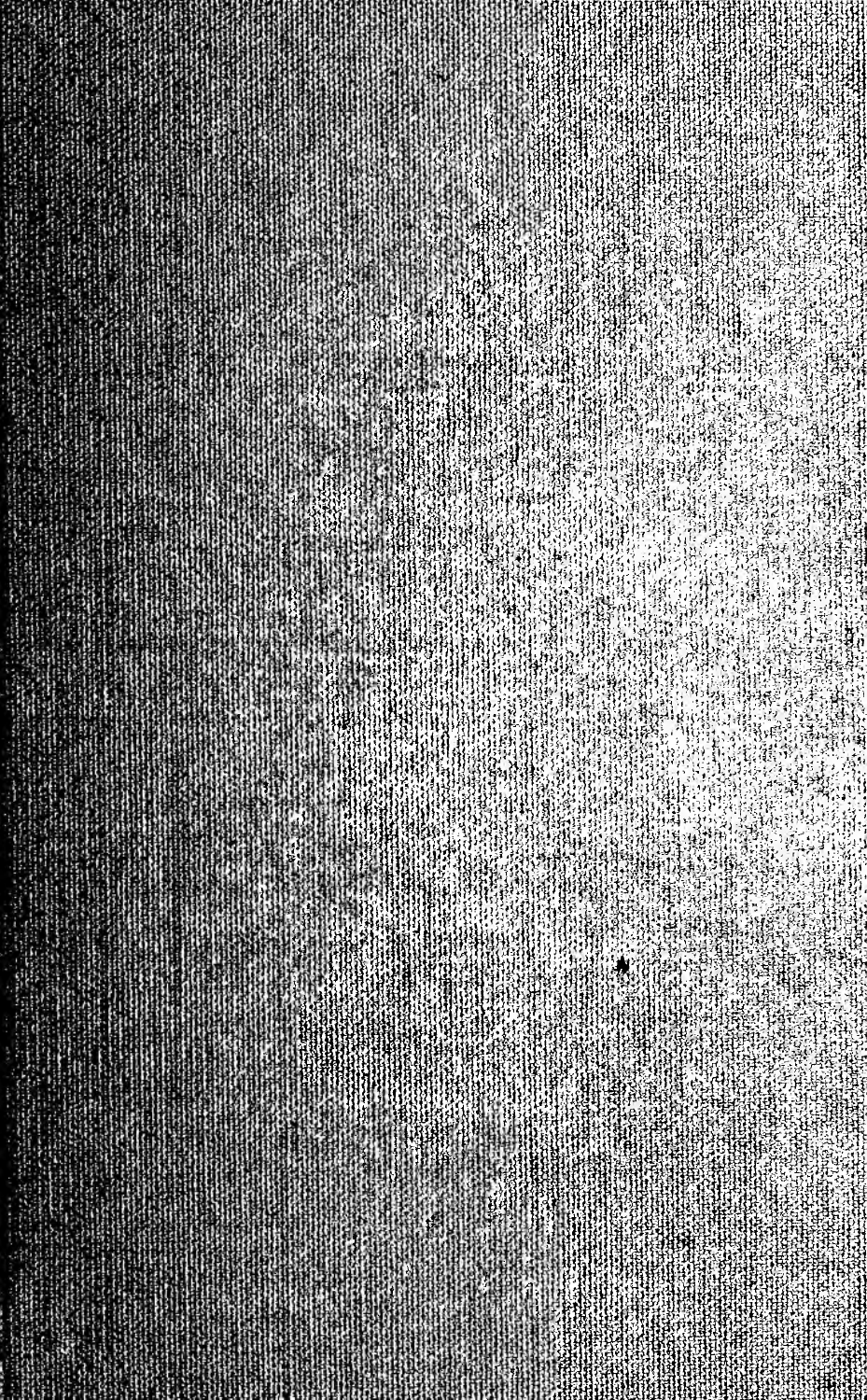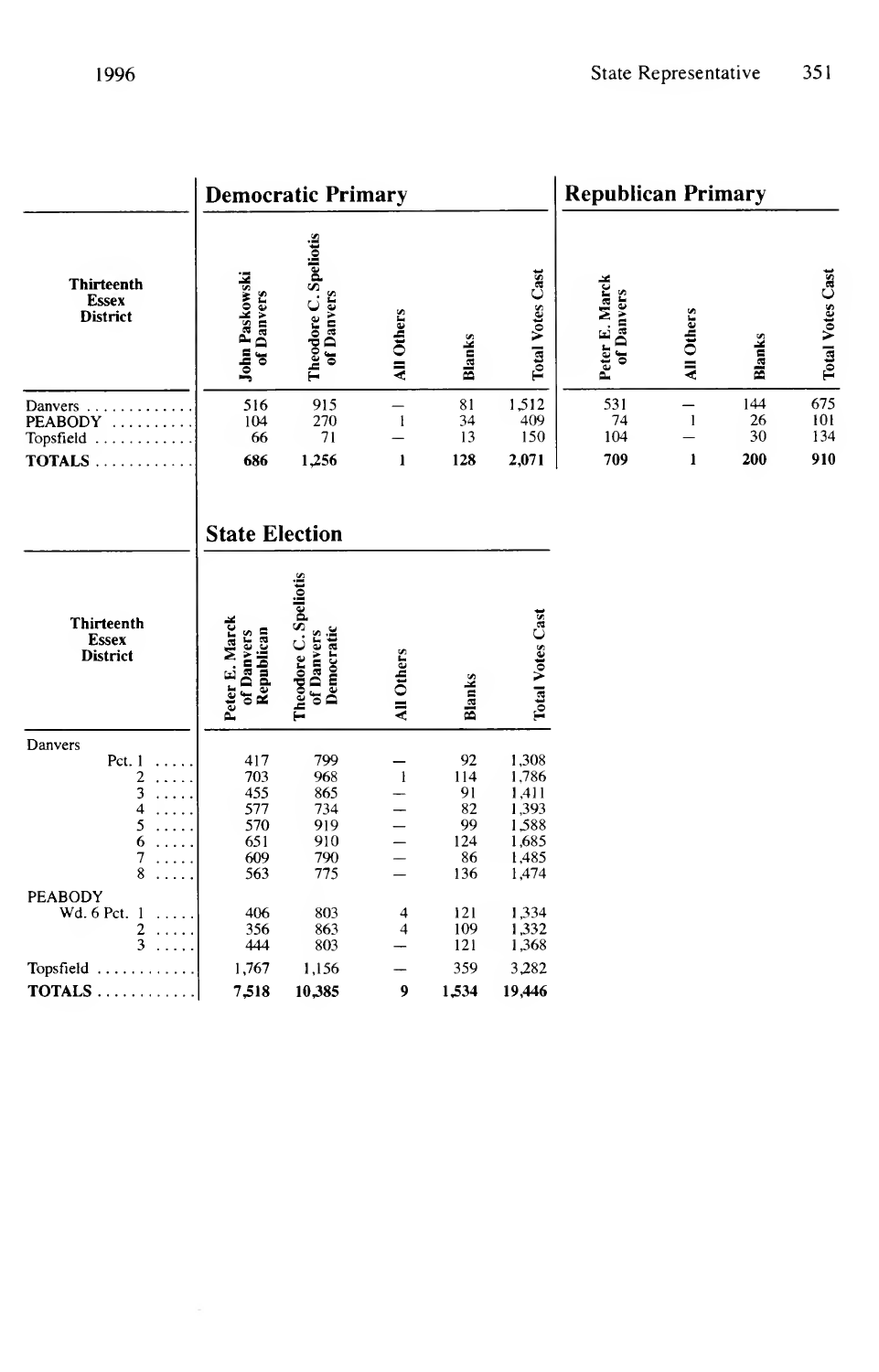|                                                      | <b>Democratic Primary</b>                            |                                                          |                                                |                                                 |                                                                      | <b>Republican Primary</b>    |                   |               |                         |
|------------------------------------------------------|------------------------------------------------------|----------------------------------------------------------|------------------------------------------------|-------------------------------------------------|----------------------------------------------------------------------|------------------------------|-------------------|---------------|-------------------------|
| <b>Thirteenth</b><br><b>Essex</b><br><b>District</b> | John Paskowski<br>of Danvers                         | Theodore C. Speliotis<br>of Danvers                      | All Others                                     | Blanks                                          | <b>Total Votes Cast</b>                                              | Peter E. Marck<br>of Danvers | All Others        | <b>Blanks</b> | <b>Total Votes Cast</b> |
| Danvers $\dots$<br>PEABODY                           | 516<br>104                                           | 915<br>270                                               | $\mathbf{1}$                                   | 81<br>34                                        | 1,512<br>409                                                         | 531<br>74                    | —<br>$\mathbf{1}$ | 144<br>26     | 675<br>101              |
| Topsfield                                            | 66                                                   | 71                                                       |                                                | 13                                              | 150                                                                  | 104                          |                   | 30            | 134                     |
| TOTALS                                               | 686                                                  | 1,256                                                    | $\mathbf{I}$                                   | 128                                             | 2,071                                                                | 709                          | $\mathbf{I}$      | 200           | 910                     |
|                                                      | <b>State Election</b>                                |                                                          |                                                |                                                 |                                                                      |                              |                   |               |                         |
| Thirteenth<br><b>Essex</b><br><b>District</b>        | Peter E. Marck<br>Republican<br>of Danvers           | <b>Theodore C. Speliotis</b><br>Democratic<br>of Danvers | <b>All Others</b>                              | Blanks                                          | <b>Total Votes Cast</b>                                              |                              |                   |               |                         |
| Danvers                                              |                                                      |                                                          |                                                |                                                 |                                                                      |                              |                   |               |                         |
| Pct. 1<br>2<br>3<br>4<br>5<br>6<br>7<br>8            | 417<br>703<br>455<br>577<br>570<br>651<br>609<br>563 | 799<br>968<br>865<br>734<br>919<br>910<br>790<br>775     | $\mathbf{1}$<br>L,<br>$\overline{\phantom{0}}$ | 92<br>114<br>91<br>82<br>99<br>124<br>86<br>136 | 1,308<br>1,786<br>1,411<br>1,393<br>1,588<br>1,685<br>1,485<br>1,474 |                              |                   |               |                         |
| <b>PEABODY</b>                                       |                                                      |                                                          |                                                |                                                 |                                                                      |                              |                   |               |                         |
| Wd. 6 Pct. 1<br>2                                    | 406<br>356                                           | 803<br>863                                               | 4<br>$\overline{\mathbf{4}}$                   | 121<br>109                                      | 1,334<br>1,332                                                       |                              |                   |               |                         |
| 3                                                    | 444                                                  | 803                                                      |                                                | 121                                             | 1,368                                                                |                              |                   |               |                         |
| Topsfield                                            | 1,767                                                | 1,156                                                    |                                                | 359                                             | 3,282                                                                |                              |                   |               |                         |
| TOTALS                                               | 7,518                                                | 10,385                                                   | 9                                              | 1,534                                           | 19,446                                                               |                              |                   |               |                         |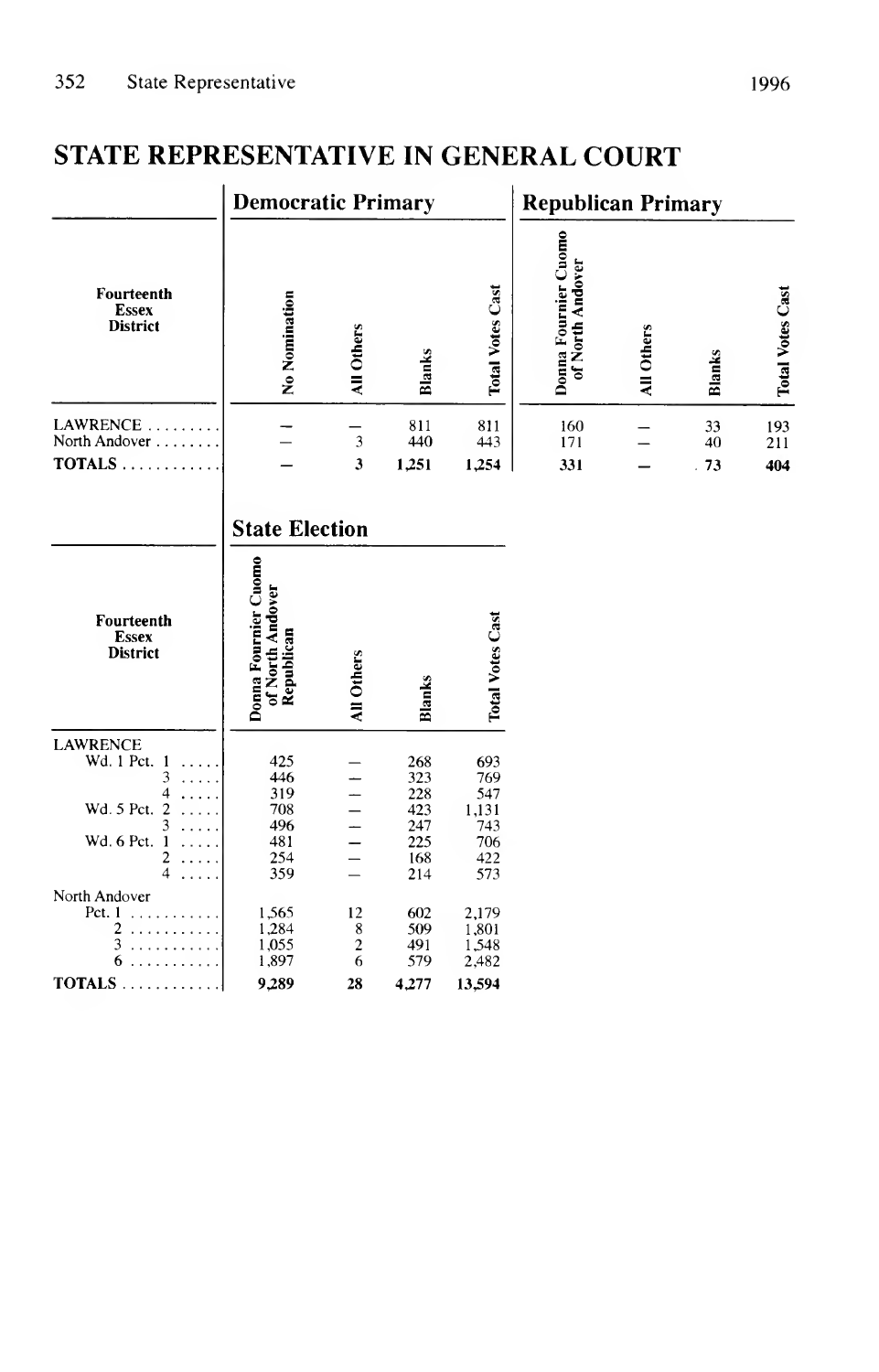|                                                        |                                                 |                                                      |                                                        | <b>Republican Primary</b>                |            |                 |                         |
|--------------------------------------------------------|-------------------------------------------------|------------------------------------------------------|--------------------------------------------------------|------------------------------------------|------------|-----------------|-------------------------|
| No Nomination                                          | All Others                                      | Blanks                                               | <b>Total Votes Cast</b>                                | Donna Fournier Cuomo<br>of North Andover | All Others | <b>Blanks</b>   | <b>Total Votes Cast</b> |
|                                                        | 3<br>$\overline{\mathbf{3}}$                    | 811<br>440<br>1,251                                  | 811<br>443<br>1,254                                    | 160<br>171<br>331                        | —          | 33<br>40<br>.73 | 193<br>211<br>404       |
|                                                        |                                                 |                                                      |                                                        |                                          |            |                 |                         |
| Donna Fournier Cuomo<br>of North Andover<br>Republican | <b>All Others</b>                               | <b>Blanks</b>                                        | <b>Total Votes Cast</b>                                |                                          |            |                 |                         |
| 425<br>446<br>319<br>708<br>496<br>481<br>254<br>359   | -<br>$\overline{\phantom{0}}$<br>$\overline{a}$ | 268<br>323<br>228<br>423<br>247<br>225<br>168<br>214 | 693<br>769<br>547<br>1,131<br>743<br>706<br>422<br>573 |                                          |            |                 |                         |
| 1,565<br>1,284<br>1,055<br>1,897                       | 12<br>8<br>$\boldsymbol{2}$<br>6                | 602<br>509<br>491<br>579                             | 2,179<br>1,801<br>1,548<br>2,482                       |                                          |            |                 |                         |
|                                                        | 9,289                                           | <b>State Election</b><br>28                          | <b>Democratic Primary</b><br>4,277                     | 13,594                                   |            |                 |                         |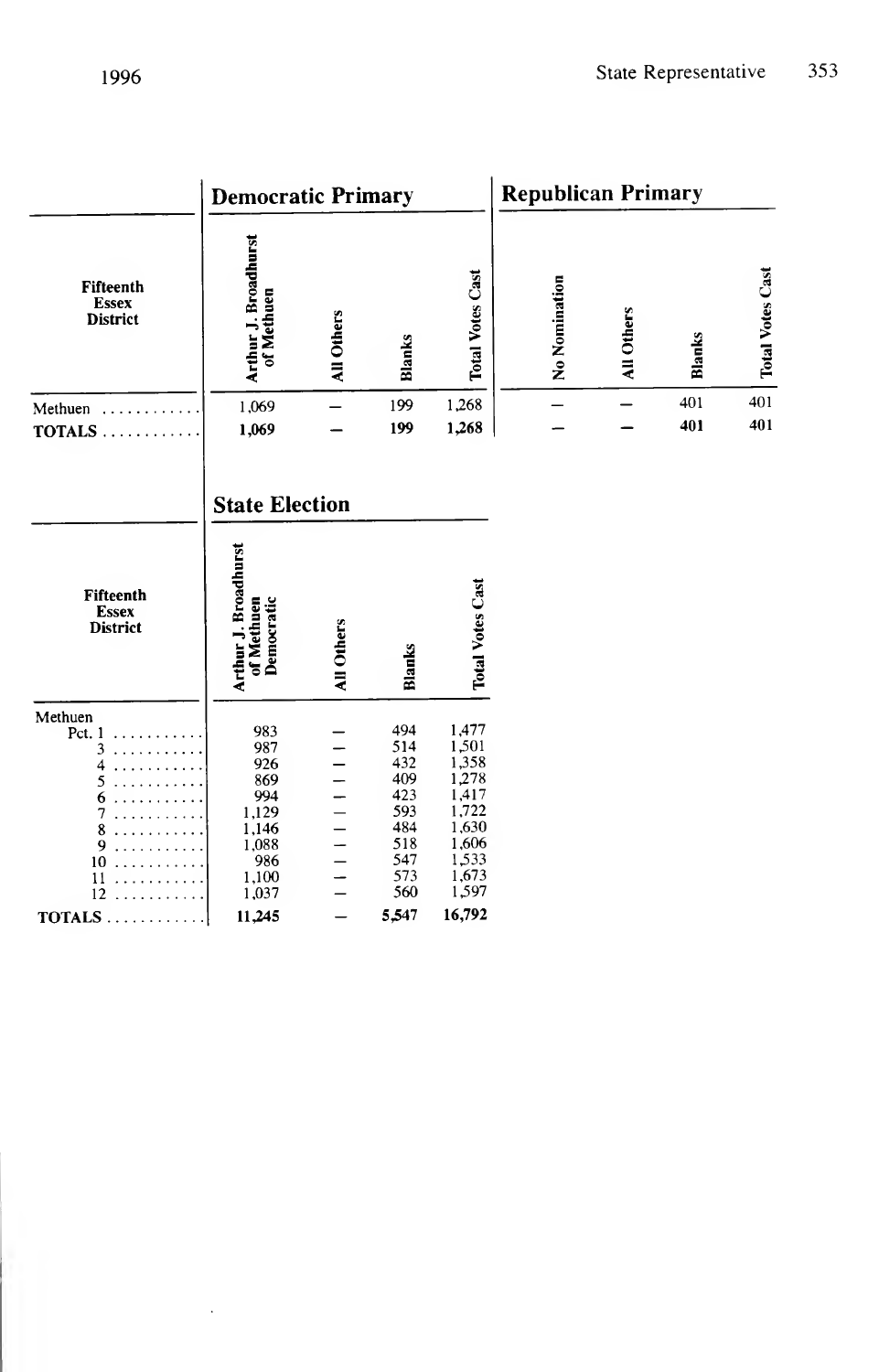$\bar{\mathcal{A}}$ 

|                                              | <b>Democratic Primary</b>                                                 |            |            |                         |               | <b>Republican Primary</b><br><b>All Others</b><br>Blanks<br>401<br>401 |  |                         |
|----------------------------------------------|---------------------------------------------------------------------------|------------|------------|-------------------------|---------------|------------------------------------------------------------------------|--|-------------------------|
| Fifteenth<br><b>Essex</b><br><b>District</b> | Arthur J. Broadhurst<br>of Methuen                                        | All Others | Blanks     | <b>Total Votes Cast</b> | No Nomination |                                                                        |  | <b>Total Votes Cast</b> |
| Methuen<br>.                                 | 1,069                                                                     |            | 199        | 1,268                   |               |                                                                        |  | 401                     |
| $TOTALS$                                     | 1,069                                                                     |            | 199        | 1,268                   |               |                                                                        |  | 401                     |
| Fifteenth<br><b>Essex</b><br><b>District</b> | <b>State Election</b><br>Arthur J. Broadhurst<br>Democratic<br>of Methuen | All Others | Blanks     | <b>Total Votes Cast</b> |               |                                                                        |  |                         |
| Methuen                                      |                                                                           |            |            |                         |               |                                                                        |  |                         |
| Pct. 1<br>3                                  | 983<br>987                                                                |            | 494<br>514 | 1,477<br>1,501          |               |                                                                        |  |                         |
|                                              | 926<br>869                                                                |            | 432<br>409 | 1,358<br>1,278          |               |                                                                        |  |                         |
| 5                                            | 994                                                                       |            | 423        | 1,417                   |               |                                                                        |  |                         |
| 8                                            | 1,129<br>1,146                                                            |            | 593<br>484 | 1,722<br>1,630          |               |                                                                        |  |                         |
| 9                                            | 1,088                                                                     |            | 518        | 1,606                   |               |                                                                        |  |                         |
| 10<br>.<br>11                                | 986<br>1,100                                                              |            | 547<br>573 | 1,533<br>1,673          |               |                                                                        |  |                         |
| 12                                           | 1,037                                                                     |            | 560        | 1,597                   |               |                                                                        |  |                         |
| TOTALS                                       | 11,245                                                                    |            | 5,547      | 16,792                  |               |                                                                        |  |                         |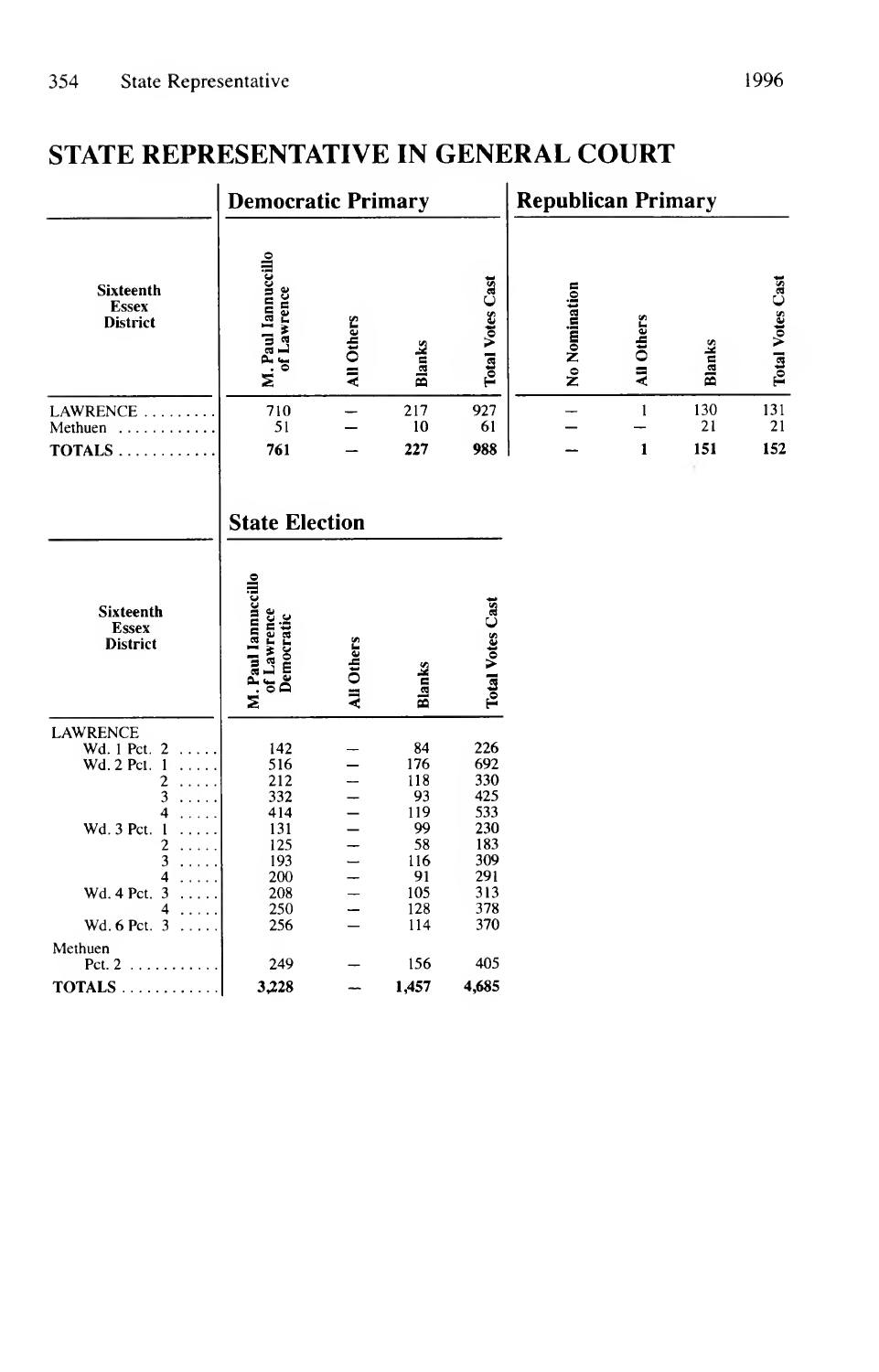|                                                                                                                 | <b>Democratic Primary</b>                                                        |                               |                                                                             |                                                                                  | <b>Republican Primary</b> |                              |                  |                                                 |  |
|-----------------------------------------------------------------------------------------------------------------|----------------------------------------------------------------------------------|-------------------------------|-----------------------------------------------------------------------------|----------------------------------------------------------------------------------|---------------------------|------------------------------|------------------|-------------------------------------------------|--|
| <b>Sixteenth</b><br><b>Essex</b><br>District                                                                    | M. Paul Iannuccillo<br>of Lawrence                                               | All Others                    | Blanks                                                                      | <b>Total Votes Cast</b>                                                          | No Nomination             | <b>All Others</b>            | Blanks           | <b>Total Votes Cast</b>                         |  |
| LAWRENCE<br>Methuen<br>TOTALS                                                                                   | 710<br>51<br>761                                                                 |                               | 217<br>10<br>227                                                            | 927<br>61<br>988                                                                 | -                         | $\mathbf{1}$<br>$\mathbf{1}$ | 130<br>21<br>151 | $\begin{array}{c} 131 \\ 21 \end{array}$<br>152 |  |
|                                                                                                                 | <b>State Election</b>                                                            |                               |                                                                             |                                                                                  |                           |                              |                  |                                                 |  |
| <b>Sixteenth</b><br><b>Essex</b><br><b>District</b>                                                             | M. Paul Iannuccillo<br>of Lawrence<br>Democratic                                 | All Others                    | Blanks                                                                      | <b>Total Votes Cast</b>                                                          |                           |                              |                  |                                                 |  |
| <b>LAWRENCE</b><br>Wd. 1 Pct. 2<br>Wd. 2 Pct.<br>1<br>2<br>3<br>Wd. 3 Pct.<br>3<br>Wd. 4 Pct. 3<br>Wd. 6 Pct. 3 | 142<br>516<br>212<br>332<br>414<br>131<br>125<br>193<br>200<br>208<br>250<br>256 | $\overline{\phantom{0}}$<br>- | 84<br>176<br>118<br>93<br>119<br>99<br>58<br>116<br>91<br>105<br>128<br>114 | 226<br>692<br>330<br>425<br>533<br>230<br>183<br>309<br>291<br>313<br>378<br>370 |                           |                              |                  |                                                 |  |
| Methuen<br>Pct. $2$<br>TOTALS                                                                                   | 249<br>3,228                                                                     |                               | 156<br>1,457                                                                | 405<br>4,685                                                                     |                           |                              |                  |                                                 |  |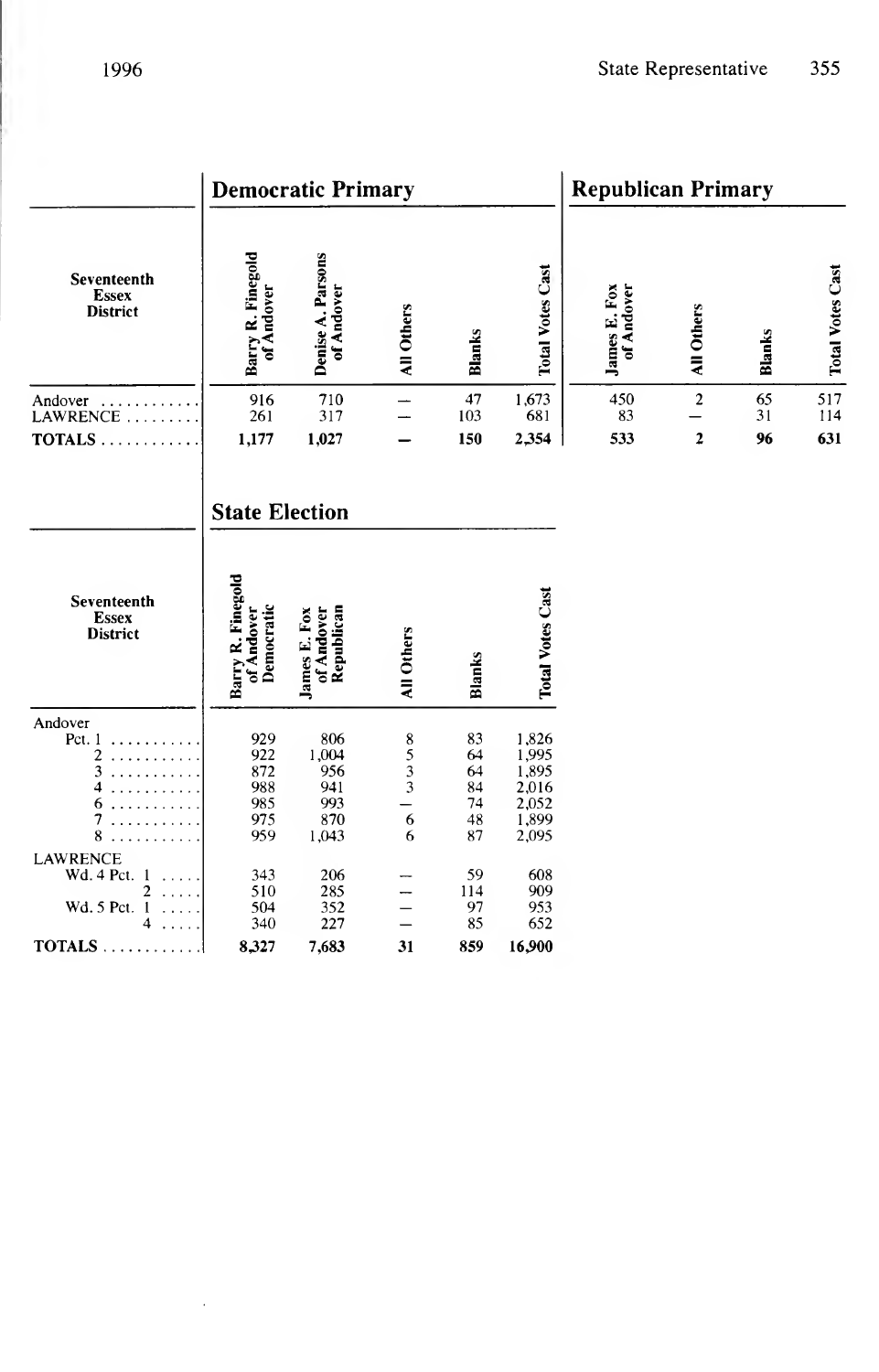$\hat{\mathcal{L}}$ 

|                                                                                             |                                               | <b>Democratic Primary</b>                |                                                 |                       | <b>Republican Primary</b>        |                            |                |          |                         |
|---------------------------------------------------------------------------------------------|-----------------------------------------------|------------------------------------------|-------------------------------------------------|-----------------------|----------------------------------|----------------------------|----------------|----------|-------------------------|
| Seventeenth<br><b>Essex</b><br><b>District</b>                                              | Barry R. Finegold<br>of Andover               | Denise A. Parsons<br>of Andover          | All Others                                      | Blanks                | <b>Total Votes Cast</b>          | of Andover<br>James E. Fox | All Others     | Blanks   | <b>Total Votes Cast</b> |
| Andover<br>LAWRENCE                                                                         | 916<br>261                                    | 710<br>317                               |                                                 | 47<br>103             | 1,673<br>681                     | 450<br>83                  | $\overline{c}$ | 65<br>31 | 517<br>114              |
| TOTALS                                                                                      | 1,177                                         | 1,027                                    |                                                 | 150                   | 2,354                            | 533                        | $\overline{2}$ | 96       | 631                     |
|                                                                                             | <b>State Election</b>                         |                                          |                                                 |                       |                                  |                            |                |          |                         |
| Seventeenth<br><b>Essex</b><br><b>District</b>                                              | Barry R. Finegold<br>Democratic<br>of Andover | Republican<br>of Andover<br>James E. Fox | All Others                                      | Blanks                | <b>Total Votes Cast</b>          |                            |                |          |                         |
| Andover<br>Pct. 1<br>2                                                                      | 929<br>922<br>872                             | 806<br>1,004<br>956                      | $\begin{array}{c} 8 \\ 5 \\ 3 \\ 3 \end{array}$ | 83<br>64<br>64        | 1,826<br>1,995<br>1,895          |                            |                |          |                         |
| 6<br>7<br>8                                                                                 | 988<br>985<br>975<br>959                      | 941<br>993<br>870<br>1,043               | 6<br>6                                          | 84<br>74<br>48<br>87  | 2,016<br>2,052<br>1,899<br>2,095 |                            |                |          |                         |
| <b>LAWRENCE</b><br>Wd. 4 Pct. 1<br>2<br>Wd. 5 Pct. 1<br>$\cdots$<br>$\overline{\mathbf{4}}$ | 343<br>510<br>504<br>340                      | 206<br>285<br>352<br>227                 |                                                 | 59<br>114<br>97<br>85 | 608<br>909<br>953<br>652         |                            |                |          |                         |
| $TOTALS$                                                                                    | 8,327                                         | 7,683                                    | 31                                              | 859                   | 16,900                           |                            |                |          |                         |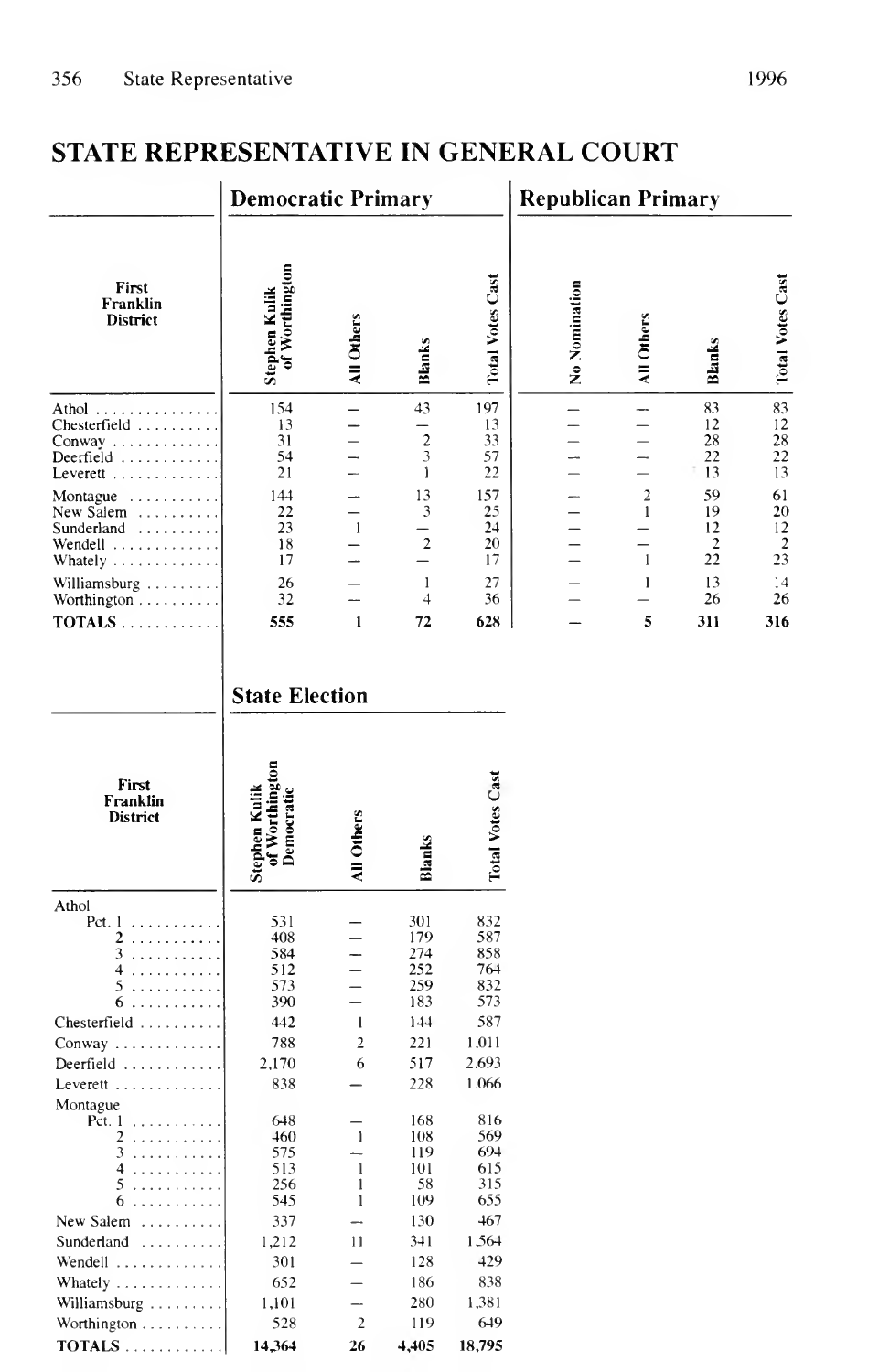|                                                                                                                                                                                                                    | <b>Democratic Primary</b>                                                                 |                                                                                      |                                                                                                                                                                               |                                                                                               | <b>Republican Primary</b> |                                                                                        |                                                                                  |                                                                                                                                          |
|--------------------------------------------------------------------------------------------------------------------------------------------------------------------------------------------------------------------|-------------------------------------------------------------------------------------------|--------------------------------------------------------------------------------------|-------------------------------------------------------------------------------------------------------------------------------------------------------------------------------|-----------------------------------------------------------------------------------------------|---------------------------|----------------------------------------------------------------------------------------|----------------------------------------------------------------------------------|------------------------------------------------------------------------------------------------------------------------------------------|
| First<br>Franklin<br>District                                                                                                                                                                                      | Stephen Kulik<br>of Worthington                                                           | <b>All Others</b>                                                                    | Blanks                                                                                                                                                                        | <b>Total Votes Cast</b>                                                                       | No Nomination             | All Others                                                                             | Blanks                                                                           | <b>Total Votes Cast</b>                                                                                                                  |
| Athol $\dots\dots$<br>Chesterfield<br>Conway $\ldots$ .<br>Deerfield<br>Leverett $\ldots$<br>Montague<br>New Salem<br>Sunderland<br>Wendell $\dots \dots \dots$<br>Whately<br>Williamsburg<br>Worthington $\ldots$ | 154<br>13<br>31<br>54<br>21<br>144<br>22<br>23<br>18<br>17<br>26<br>32                    | $\mathbf{1}$                                                                         | 43<br>÷,<br>$\frac{2}{3}$<br>$\mathbf{1}$<br>13<br>$\mathfrak{Z}$<br>$\overline{\phantom{0}}$<br>$\overline{2}$<br>$\overline{\phantom{0}}$<br>$\mathbf{1}$<br>$\overline{4}$ | 197<br>13<br>$\frac{33}{57}$<br>22<br>157<br>25<br>24<br>20<br>17<br>27<br>36                 |                           | $\frac{-}{1}$<br>$\frac{2}{1}$<br>$\overline{\phantom{0}}$<br>$\mathbf{1}$<br>$\bf{l}$ | 83<br>12<br>28<br>22<br>13<br>59<br>19<br>12<br>$\overline{2}$<br>22<br>13<br>26 | $\begin{array}{c} 83 \\ 12 \\ 28 \\ 22 \end{array}$<br>13<br>$\frac{61}{20}$<br>$\begin{array}{c} 12 \\ 2 \\ 23 \end{array}$<br>14<br>26 |
| $TOTALS$                                                                                                                                                                                                           | 555                                                                                       | $\mathbf{I}$                                                                         | 72                                                                                                                                                                            | 628                                                                                           |                           | 5                                                                                      | 311                                                                              | 316                                                                                                                                      |
|                                                                                                                                                                                                                    | <b>State Election</b>                                                                     |                                                                                      |                                                                                                                                                                               |                                                                                               |                           |                                                                                        |                                                                                  |                                                                                                                                          |
| First<br>Franklin<br><b>District</b>                                                                                                                                                                               | Stephen Kulik<br>of Worthington<br>Democratic                                             | All Others                                                                           | Blanks                                                                                                                                                                        | <b>Total Votes Cast</b>                                                                       |                           |                                                                                        |                                                                                  |                                                                                                                                          |
| Athol<br>Pct. 1<br>$\overline{\mathbf{c}}$<br>3<br>4<br>5<br>6<br>$\alpha$ , $\alpha$ , $\alpha$<br>Chesterfield<br>Conway $\ldots$<br>Deerfield<br>Leverett<br>Montague<br>Pct. 1<br>2<br>3                       | 531<br>408<br>584<br>512<br>573<br>390<br>442<br>788<br>2,170<br>838<br>648<br>460<br>575 | -<br>$\overline{\phantom{0}}$<br>$\mathbf{1}$<br>$\overline{2}$<br>6<br>$\mathbf{1}$ | 301<br>179<br>274<br>252<br>259<br>183<br>144<br>221<br>517<br>228<br>168<br>108<br>119                                                                                       | 832<br>587<br>858<br>764<br>832<br>573<br>587<br>1,011<br>2,693<br>1,066<br>816<br>569<br>694 |                           |                                                                                        |                                                                                  |                                                                                                                                          |
| $\overline{\mathbf{4}}$<br>5<br>1.1.1.1.1<br>6<br>New Salem<br>Sunderland<br>$\sim$ .<br>$\overline{a}$<br>Wendell                                                                                                 | 513<br>256<br>545<br>337<br>1,212<br>301                                                  | $\mathbf{1}$<br>1<br>$\mathbf{1}$<br>-<br>11                                         | 101<br>58<br>109<br>130<br>341<br>128                                                                                                                                         | 615<br>315<br>655<br>467<br>1,564<br>429                                                      |                           |                                                                                        |                                                                                  |                                                                                                                                          |
| Whately<br>Williamsburg<br>Worthington<br>TOTALS                                                                                                                                                                   | 652<br>1,101<br>528<br>14,364                                                             | $\overline{2}$<br>26                                                                 | 186<br>280<br>119<br>4,405                                                                                                                                                    | 838<br>1,381<br>649<br>18,795                                                                 |                           |                                                                                        |                                                                                  |                                                                                                                                          |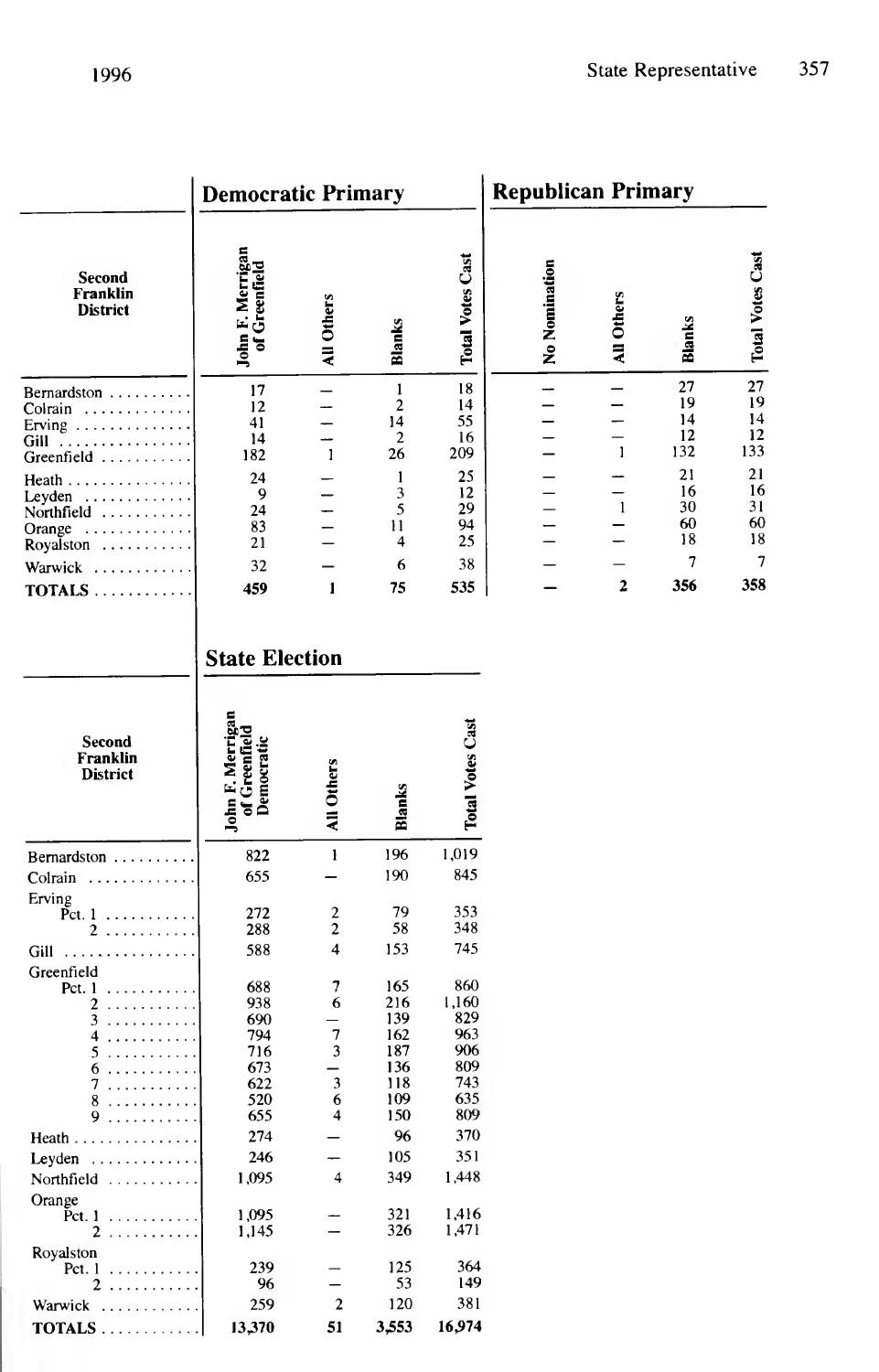|                                                                                                                                                                                        | <b>Democratic Primary</b>                                             |                                                                            |                                                                                            |                                                                        | <b>Republican Primary</b> |                                           |                                                                                    |                                                                                                           |
|----------------------------------------------------------------------------------------------------------------------------------------------------------------------------------------|-----------------------------------------------------------------------|----------------------------------------------------------------------------|--------------------------------------------------------------------------------------------|------------------------------------------------------------------------|---------------------------|-------------------------------------------|------------------------------------------------------------------------------------|-----------------------------------------------------------------------------------------------------------|
| Second<br>Franklin<br>District                                                                                                                                                         | <b>John F. Merrigan</b><br>of Greenfield                              | All Others                                                                 | Blanks                                                                                     | <b>Total Votes Cast</b>                                                | No Nomination             | All Others                                | Blanks                                                                             | <b>Total Votes Cast</b>                                                                                   |
| Bernardston<br>Colrain<br>Erving $\ldots \ldots \ldots$<br>Gill<br>Greenfield<br>Heath $\ldots$<br>Leyden<br>.<br>Northfield<br>Orange $\dots \dots$<br>Royalston<br>Warwick<br>TOTALS | 17<br>12<br>41<br>14<br>182<br>24<br>9<br>24<br>83<br>21<br>32<br>459 | $\overline{\phantom{0}}$<br>$\mathbf{I}$<br>$\mathbf{I}$                   | $\bf{l}$<br>$\mathbf 2$<br>14<br>$\overline{2}$<br>26<br>1<br>3<br>5<br>11<br>4<br>6<br>75 | 18<br>14<br>55<br>16<br>209<br>25<br>12<br>29<br>94<br>25<br>38<br>535 | ----------<br>--------    | $\mathbf 1$<br>$\bf{l}$<br>$\overline{2}$ | 27<br>19<br>14<br>12<br>132<br>21<br>16<br>30<br>60<br>18<br>$\overline{7}$<br>356 | $\overline{27}$<br>19<br>14<br>12<br>133<br>21<br>16<br>31<br>60<br>18<br>$\overline{\phantom{a}}$<br>358 |
|                                                                                                                                                                                        | <b>State Election</b>                                                 |                                                                            |                                                                                            |                                                                        |                           |                                           |                                                                                    |                                                                                                           |
| Second<br>Franklin<br><b>District</b>                                                                                                                                                  | John F. Merrigar<br>of Greenfield<br>Democratic                       | All Others                                                                 | Blanks                                                                                     | <b>Total Votes Cast</b>                                                |                           |                                           |                                                                                    |                                                                                                           |
| Bernardston                                                                                                                                                                            | 822                                                                   | 1                                                                          | 196<br>190                                                                                 | 1,019<br>845                                                           |                           |                                           |                                                                                    |                                                                                                           |
| Colrain<br>$\ldots$ .<br>Erving<br>Pct. 1<br>2<br>$Gill$                                                                                                                               | 655<br>272<br>288<br>588                                              | $\overline{\phantom{0}}$<br>2<br>$\overline{2}$<br>$\overline{\mathbf{4}}$ | 79<br>58<br>153                                                                            | 353<br>348<br>745                                                      |                           |                                           |                                                                                    |                                                                                                           |
| Greenfield<br>Pct. 1<br>2<br>٦<br>4<br>$\cdots$<br>5<br>6<br>7<br>8<br>$\ldots$                                                                                                        | 688<br>938<br>690<br>794<br>716<br>673<br>622<br>520                  | $\overline{\phantom{a}}$<br>6<br>$\frac{1}{3}$<br>6                        | 165<br>216<br>139<br>162<br>187<br>136<br>118<br>109                                       | 860<br>1,160<br>829<br>963<br>906<br>809<br>743<br>635                 |                           |                                           |                                                                                    |                                                                                                           |
| 9<br>$\ldots$ .<br>Heath                                                                                                                                                               | 655<br>274                                                            | $\overline{4}$                                                             | 150<br>96                                                                                  | 809<br>370                                                             |                           |                                           |                                                                                    |                                                                                                           |
| Leyden $\dots$<br>Northfield                                                                                                                                                           | 246<br>1,095                                                          | $\overline{\mathbf{4}}$                                                    | 105<br>349                                                                                 | 351<br>1,448                                                           |                           |                                           |                                                                                    |                                                                                                           |
| Orange<br>Pct. 1<br>2                                                                                                                                                                  | 1,095<br>1,145                                                        |                                                                            | 321<br>326                                                                                 | 1,416<br>1,471                                                         |                           |                                           |                                                                                    |                                                                                                           |
| Royalston<br>Pct. 1<br>2<br>$\sim$                                                                                                                                                     | 239<br>96                                                             |                                                                            | 125<br>53                                                                                  | 364<br>149                                                             |                           |                                           |                                                                                    |                                                                                                           |
| Warwick<br>TOTALS                                                                                                                                                                      | 259<br>13,370                                                         | $\overline{2}$<br>51                                                       | 120<br>3,553                                                                               | 381<br>16,974                                                          |                           |                                           |                                                                                    |                                                                                                           |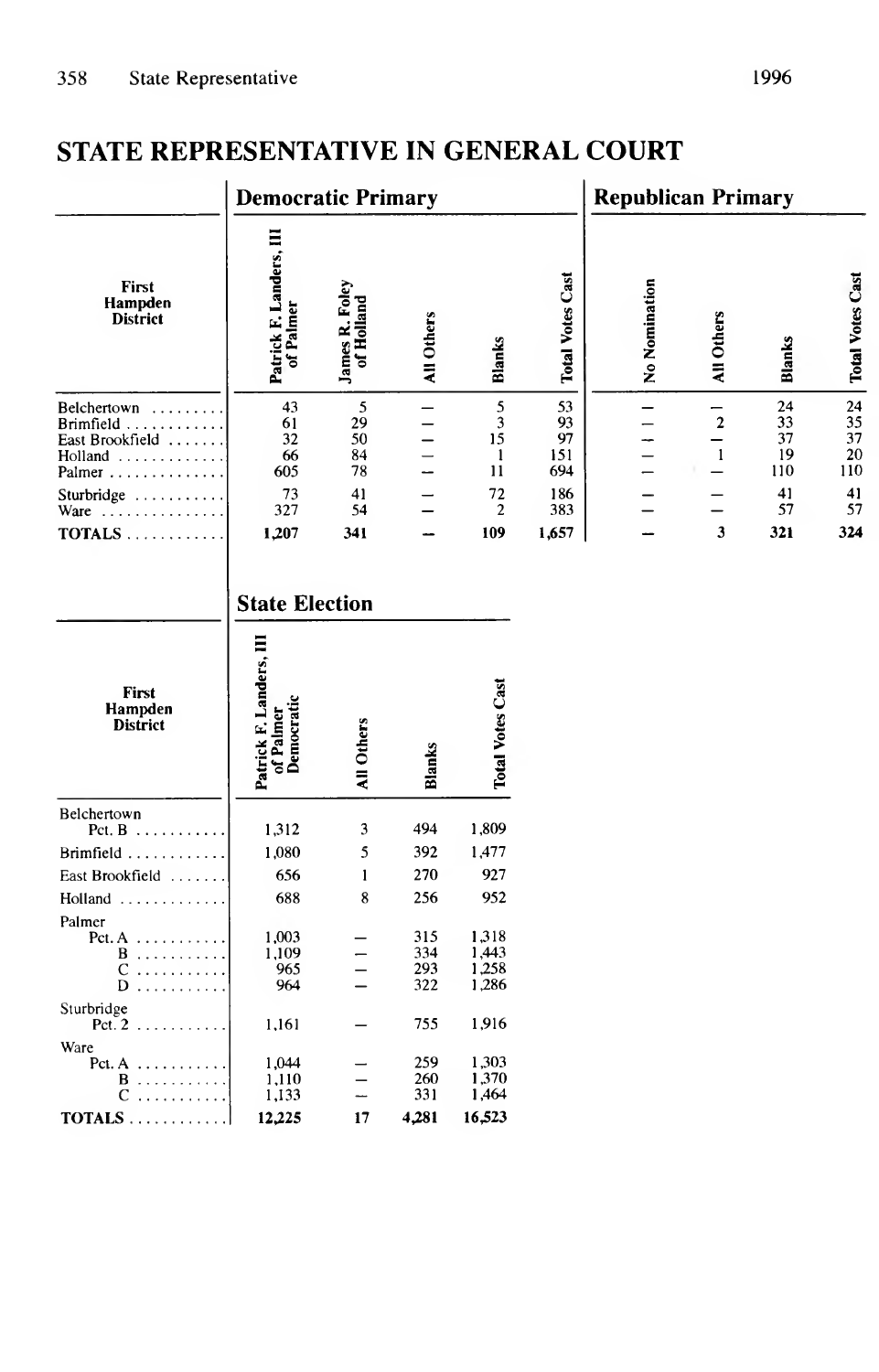|                                                                                                                                        | <b>Democratic Primary</b>                                                   |                                              |                            |                                                                 |                                                     | <b>Republican Primary</b>     |                                                                          |                                                |                                                        |
|----------------------------------------------------------------------------------------------------------------------------------------|-----------------------------------------------------------------------------|----------------------------------------------|----------------------------|-----------------------------------------------------------------|-----------------------------------------------------|-------------------------------|--------------------------------------------------------------------------|------------------------------------------------|--------------------------------------------------------|
| First<br>Hampden<br><b>District</b>                                                                                                    | Patrick F. Landers, III<br>of Palmer                                        | James R. Foley<br>of Holland                 | <b>All Others</b>          | Blanks                                                          | <b>Total Votes Cast</b>                             | No Nomination                 | All Others                                                               | Blanks                                         | <b>Total Votes Cast</b>                                |
| Belchertown<br>Brimfield<br>East Brookfield<br>$H$ olland<br>Palmer<br>Sturbridge<br>Ware $\dots\dots\dots\dots\dots\dots$<br>$TOTALS$ | 43<br>61<br>32<br>66<br>605<br>73<br>327<br>1,207                           | 5<br>29<br>50<br>84<br>78<br>41<br>54<br>341 | $\equiv$<br>$\overline{ }$ | 5<br>3<br>15<br>$\mathbf{1}$<br>11<br>72<br>$\mathbf{2}$<br>109 | 53<br>93<br>97<br>151<br>694<br>186<br>383<br>1,657 | —<br>$\overline{\phantom{0}}$ | $\overline{\mathbf{c}}$<br>$\overline{\phantom{0}}$<br>$\mathbf{I}$<br>3 | 24<br>33<br>37<br>19<br>110<br>41<br>57<br>321 | ${\bf 24}$<br>35<br>37<br>20<br>110<br>41<br>57<br>324 |
| First<br>Hampden<br><b>District</b>                                                                                                    | <b>State Election</b><br>Patrick F. Landers, III<br>Democratic<br>of Palmer |                                              |                            | <b>Total Votes Cast</b>                                         |                                                     |                               |                                                                          |                                                |                                                        |
|                                                                                                                                        |                                                                             | <b>All Others</b>                            | Blanks                     |                                                                 |                                                     |                               |                                                                          |                                                |                                                        |
| Belchertown<br>Pct. B<br>.                                                                                                             | 1,312                                                                       | 3                                            | 494                        | 1,809                                                           |                                                     |                               |                                                                          |                                                |                                                        |
| $Brimfield$                                                                                                                            | 1,080                                                                       | 5                                            | 392                        | 1,477                                                           |                                                     |                               |                                                                          |                                                |                                                        |
| East Brookfield                                                                                                                        | 656                                                                         | $\mathbf{1}$                                 | 270                        | 927                                                             |                                                     |                               |                                                                          |                                                |                                                        |
| Holland                                                                                                                                | 688                                                                         | 8                                            | 256                        | 952                                                             |                                                     |                               |                                                                          |                                                |                                                        |
| Palmer<br>Pct. A<br>.<br>в<br>.<br>.<br>C<br>D<br>1.1.1.1.1.1.1.1.1                                                                    | 1,003<br>1,109<br>965<br>964                                                | -<br>$\overline{\phantom{0}}$                | 315<br>334<br>293<br>322   | 1,318<br>1,443<br>1,258<br>1,286                                |                                                     |                               |                                                                          |                                                |                                                        |
| Sturbridge<br>$Pct. 2$                                                                                                                 | 1,161                                                                       |                                              | 755                        | 1,916                                                           |                                                     |                               |                                                                          |                                                |                                                        |
| Ware<br>Pct. A<br>.<br>В<br>.<br>$C$<br>TOTALS                                                                                         | 1,044<br>1,110<br>1,133<br>12,225                                           | L.<br>17                                     | 259<br>260<br>331<br>4,281 | 1,303<br>1,370<br>1,464<br>16,523                               |                                                     |                               |                                                                          |                                                |                                                        |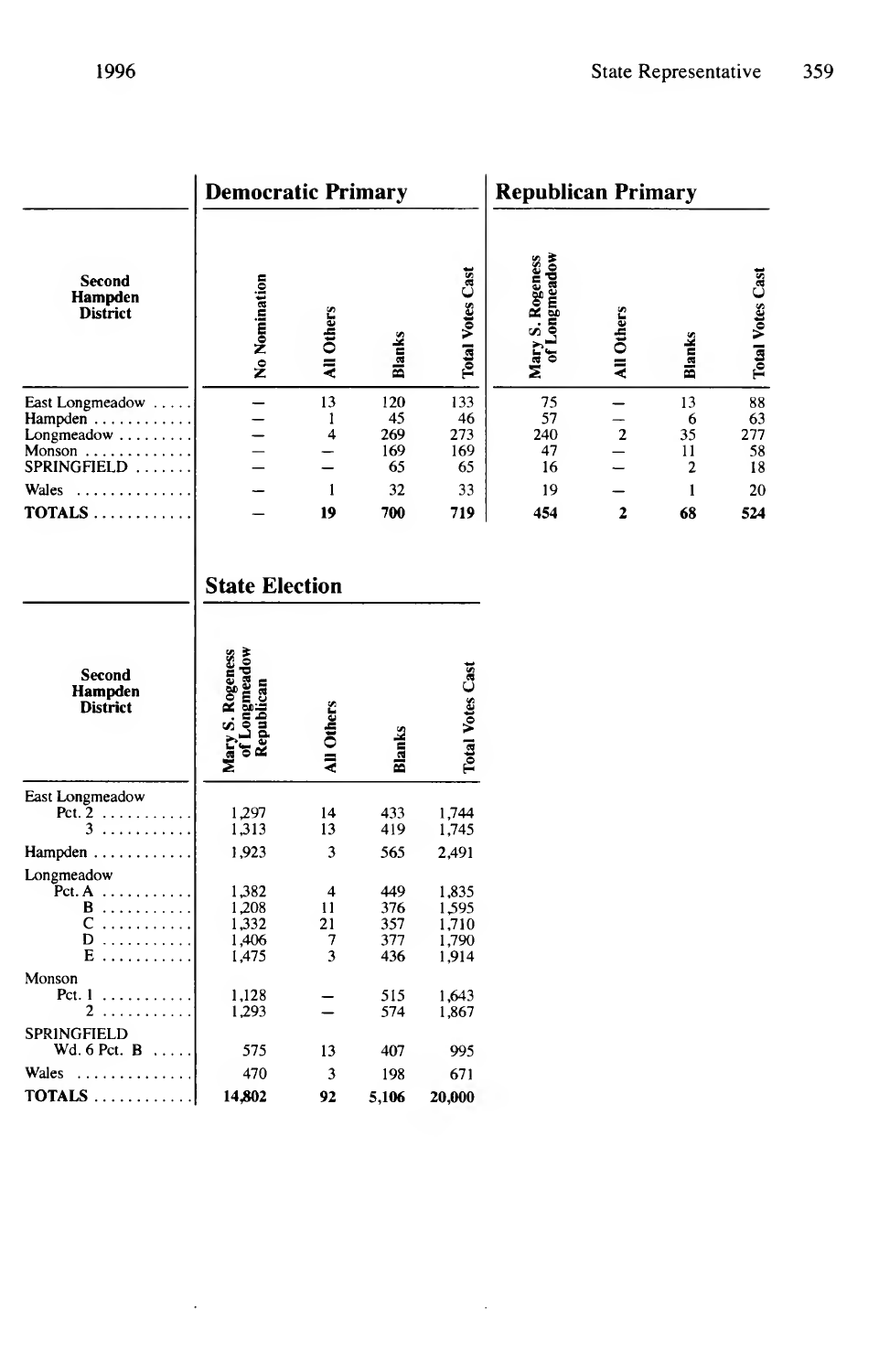$\mathcal{L}^{\pm}$ 

|                                                                                 | <b>Democratic Primary</b>                                                |                                      |                                 |                                           | <b>Republican Primary</b>         |                         |                                     |                             |
|---------------------------------------------------------------------------------|--------------------------------------------------------------------------|--------------------------------------|---------------------------------|-------------------------------------------|-----------------------------------|-------------------------|-------------------------------------|-----------------------------|
| <b>Second</b><br>Hampden<br><b>District</b>                                     | No Nomination                                                            | All Others                           | Blanks                          | <b>Total Votes Cast</b>                   | of Longmeadow<br>Mary S. Rogeness | All Others              | <b>Blanks</b>                       | <b>Total Votes Cast</b>     |
| East Longmeadow<br>Hampden<br>$Longmeadow \dots \dots$<br>Monson<br>SPRINGFIELD | —                                                                        | 13<br>1<br>4                         | 120<br>45<br>269<br>169<br>65   | 133<br>46<br>273<br>169<br>65             | 75<br>57<br>240<br>47<br>16       | -<br>$\frac{1}{2}$      | 13<br>6<br>35<br>11<br>$\mathbf{2}$ | 88<br>63<br>277<br>58<br>18 |
| Wales<br>.<br>$TOTALS$                                                          |                                                                          | $\mathbf{1}$<br>19                   | 32<br>700                       | 33<br>719                                 | 19<br>454                         | $\overline{\mathbf{2}}$ | 1<br>68                             | 20<br>524                   |
| Second<br>Hampden<br><b>District</b>                                            | <b>State Election</b><br>of Longmeadow<br>Mary S. Rogeness<br>Republican | <b>All Others</b>                    | Blanks                          | <b>Total Votes Cast</b>                   |                                   |                         |                                     |                             |
| East Longmeadow<br>Pct. $2$<br>3                                                | 1,297<br>1,313                                                           | 14<br>13                             | 433<br>419                      | 1.744<br>1,745                            |                                   |                         |                                     |                             |
| .<br>Hampden<br>Longmeadow                                                      | 1,923                                                                    | 3                                    | 565                             | 2,491                                     |                                   |                         |                                     |                             |
| Pct. A $\ldots$<br><b>B</b><br>C<br>.<br>D<br>.<br>E<br>.                       | 1,382<br>1,208<br>1,332<br>1,406<br>1,475                                | $\overline{4}$<br>11<br>21<br>7<br>3 | 449<br>376<br>357<br>377<br>436 | 1,835<br>1,595<br>1,710<br>1,790<br>1,914 |                                   |                         |                                     |                             |
| Monson<br>Pct. $1$<br>2                                                         | 1,128<br>1,293                                                           |                                      | 515<br>574                      | 1.643<br>1,867                            |                                   |                         |                                     |                             |
| <b>SPRINGFIELD</b><br>$Wd. 6$ Pct. $B$                                          | 575                                                                      | 13                                   | 407                             | 995                                       |                                   |                         |                                     |                             |
| Wales<br>.<br>$TOTALS$                                                          | 470<br>14,802                                                            | 3<br>92                              | 198<br>5,106                    | 671<br>20,000                             |                                   |                         |                                     |                             |

 $\mathcal{L}^{\pm}$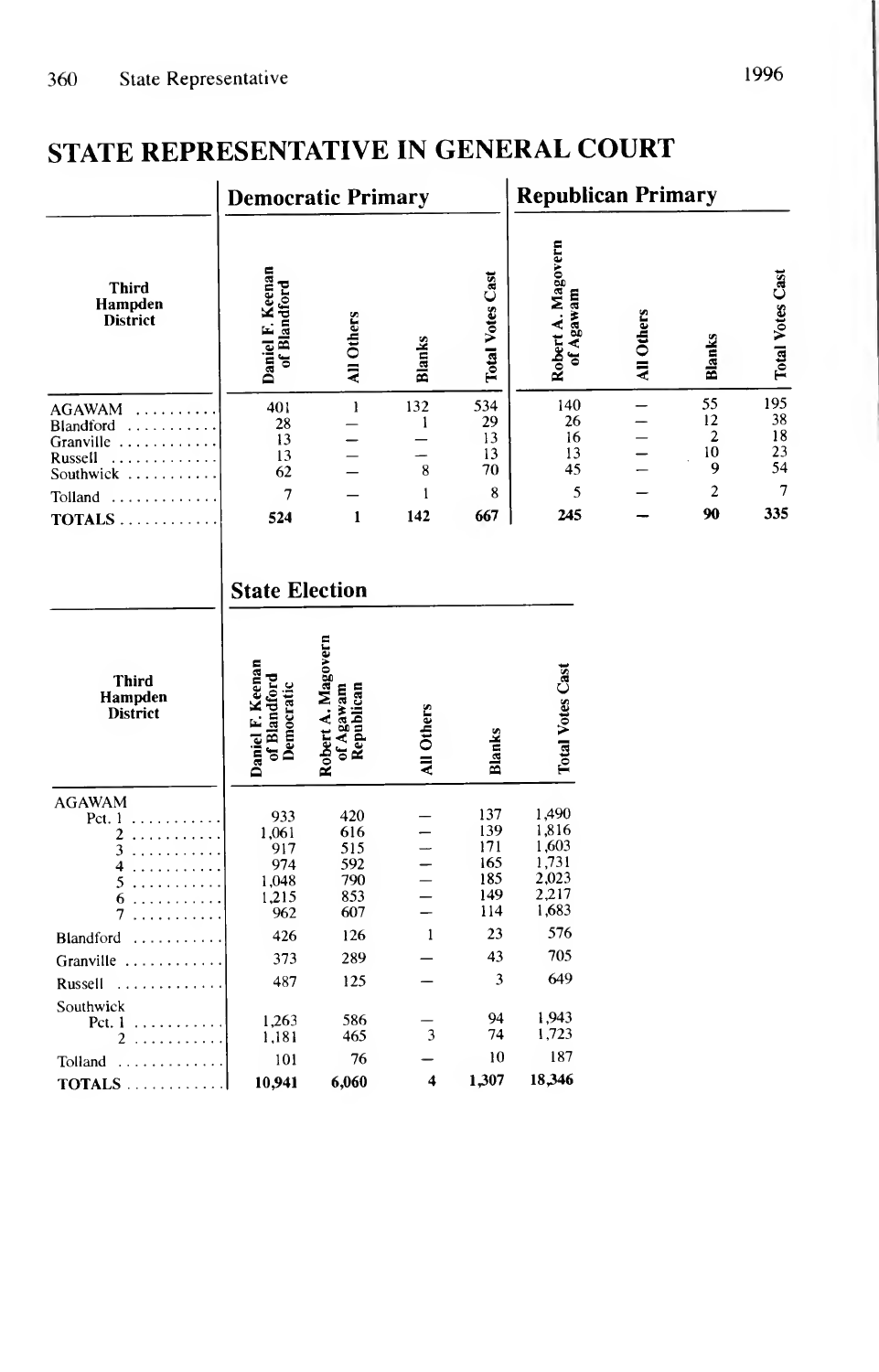|                                                                                                     | <b>Democratic Primary</b>                           |                                               |                                                 |                                               | <b>Republican Primary</b>                                   |                               |                                                            |                                                                    |  |
|-----------------------------------------------------------------------------------------------------|-----------------------------------------------------|-----------------------------------------------|-------------------------------------------------|-----------------------------------------------|-------------------------------------------------------------|-------------------------------|------------------------------------------------------------|--------------------------------------------------------------------|--|
| Third<br>Hampden<br><b>District</b>                                                                 | Daniel F. Keenan<br>of Blandford                    | All Others                                    | Blanks                                          | <b>Total Votes Cast</b>                       | Robert A. Magovern<br>of Agawam                             | All Others                    | Blanks                                                     | <b>Total Votes Cast</b>                                            |  |
| <b>AGAWAM</b><br>.<br>Blandford<br>Granville<br>Russell<br>.<br>Southwick<br>Tolland<br>.<br>TOTALS | 401<br>28<br>13<br>13<br>62<br>$\tau$<br>524        | $\mathbf{1}$<br>$\mathbf{1}$                  | 132<br>$\mathbf{1}$<br>8<br>$\mathbf{I}$<br>142 | 534<br>29<br>13<br>13<br>70<br>8<br>667       | 140<br>26<br>16<br>13<br>45<br>5<br>245                     | -<br>$\overline{\phantom{0}}$ | 55<br>12<br>$\mathbf 2$<br>10<br>9<br>$\overline{2}$<br>90 | $\frac{195}{38}$<br>$\frac{18}{23}$<br>54<br>$\overline{7}$<br>335 |  |
|                                                                                                     | <b>State Election</b>                               |                                               |                                                 |                                               |                                                             |                               |                                                            |                                                                    |  |
| <b>Third</b><br>Hampden<br><b>District</b>                                                          | Daniel F. Keenan<br>of Blandford<br>Democratic      | Robert A. Magovern<br>Republican<br>of Agawam | All Others                                      | <b>Blanks</b>                                 | <b>Total Votes Cast</b>                                     |                               |                                                            |                                                                    |  |
| <b>AGAWAM</b><br>Pct. 1<br>2<br>3<br>.<br>4<br>.<br>5<br>.<br>6<br>.<br>7<br>.                      | 933<br>1,061<br>917<br>974<br>1,048<br>1,215<br>962 | 420<br>616<br>515<br>592<br>790<br>853<br>607 | -                                               | 137<br>139<br>171<br>165<br>185<br>149<br>114 | 1,490<br>1,816<br>1,603<br>1,731<br>2,023<br>2,217<br>1,683 |                               |                                                            |                                                                    |  |
| Blandford                                                                                           | 426                                                 | 126                                           | $\mathbf{1}$                                    | 23                                            | 576                                                         |                               |                                                            |                                                                    |  |
| Granville                                                                                           | 373                                                 | 289                                           |                                                 | 43                                            | 705                                                         |                               |                                                            |                                                                    |  |
| Russell<br>.                                                                                        | 487                                                 | 125                                           |                                                 | 3                                             | 649                                                         |                               |                                                            |                                                                    |  |
| Southwick<br>Pct. $1$<br>2                                                                          | 1,263<br>1,181                                      | 586<br>465                                    | $\overline{\mathbf{3}}$                         | 94<br>74                                      | 1,943<br>1,723                                              |                               |                                                            |                                                                    |  |
| Tolland<br>1.1.1.1.1                                                                                | 101                                                 | 76                                            | 4                                               | 10                                            | 187<br>18,346                                               |                               |                                                            |                                                                    |  |
| <b>TOTALS</b>                                                                                       | 10,941                                              | 6,060                                         |                                                 | 1,307                                         |                                                             |                               |                                                            |                                                                    |  |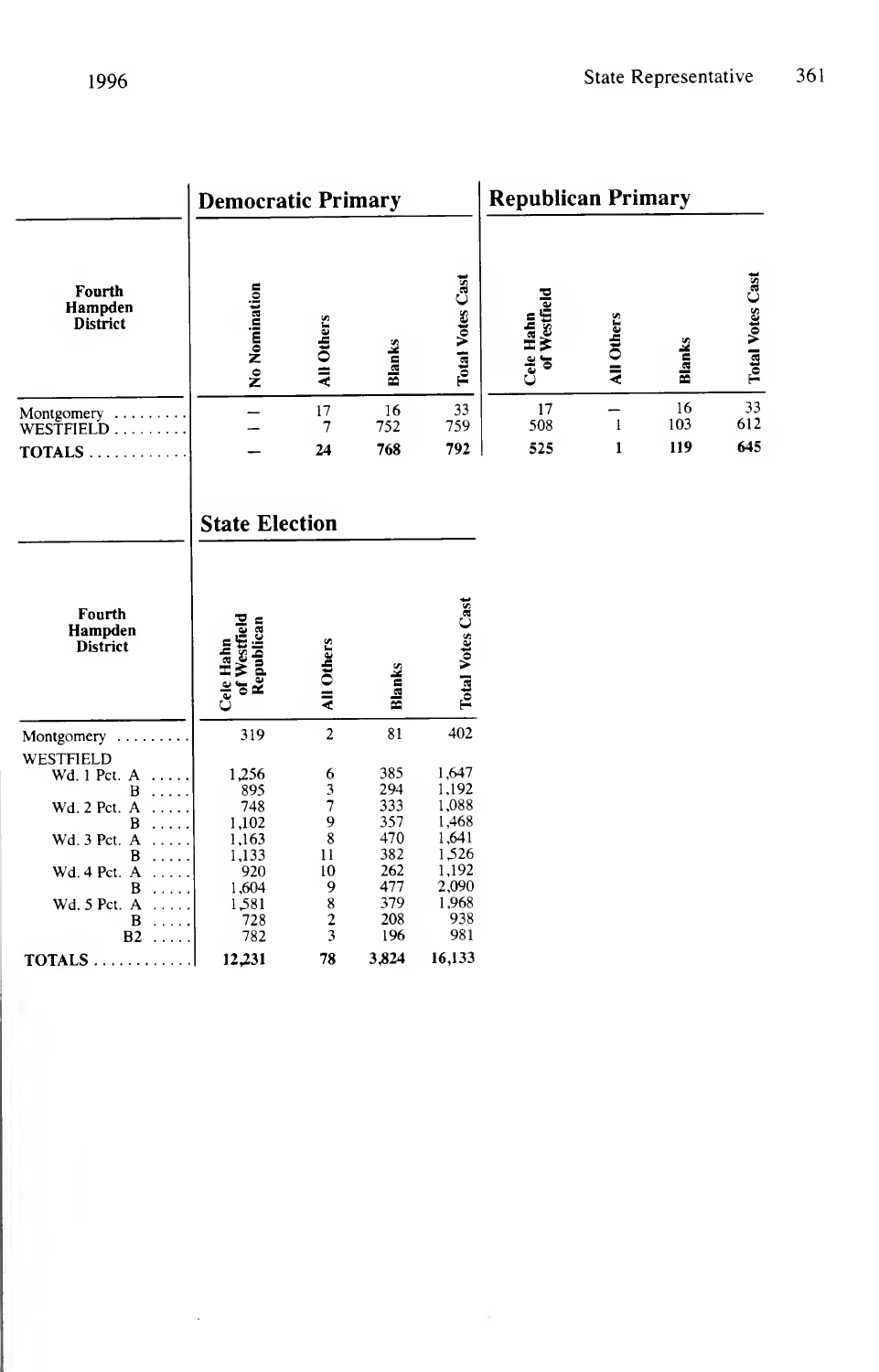$\bar{z}$ 

|                                                                                                                          | <b>Democratic Primary</b>                                                             |                                                                                                   |                                                                           |                                                                                             | <b>Republican Primary</b> |                   |           |                         |
|--------------------------------------------------------------------------------------------------------------------------|---------------------------------------------------------------------------------------|---------------------------------------------------------------------------------------------------|---------------------------------------------------------------------------|---------------------------------------------------------------------------------------------|---------------------------|-------------------|-----------|-------------------------|
| Fourth<br>Hampden<br>District                                                                                            | No Nomination                                                                         | <b>All Others</b>                                                                                 | Blanks                                                                    | <b>Total Votes Cast</b>                                                                     | of Westfield<br>Cele Hahn | <b>All Others</b> | Blanks    | <b>Total Votes Cast</b> |
| Montgomery<br>WESTFIELD                                                                                                  |                                                                                       | 17<br>$\overline{7}$                                                                              | 16<br>752                                                                 | 33<br>759                                                                                   | 17<br>508                 | -<br>$\mathbf{1}$ | 16<br>103 | 33<br>612               |
| $TOTALS$                                                                                                                 |                                                                                       | 24                                                                                                | 768                                                                       | 792                                                                                         | 525                       | $\mathbf{1}$      | 119       | 645                     |
| Fourth<br>Hampden<br><b>District</b>                                                                                     | <b>State Election</b><br>of Westfield<br>Republican<br>Cele Hahn                      | All Others                                                                                        | Blanks                                                                    | <b>Total Votes Cast</b>                                                                     |                           |                   |           |                         |
| Montgomery                                                                                                               | 319                                                                                   | $\overline{2}$                                                                                    | 81                                                                        | 402                                                                                         |                           |                   |           |                         |
| WESTFIELD<br>Wd. 1 Pct. A<br>В<br>Wd. 2 Pct. A<br>B<br>Wd. 3 Pct. A<br>B<br>Wd. 4 Pct. A<br>B<br>Wd. 5 Pct. A<br>B<br>B2 | 1,256<br>895<br>748<br>1,102<br>1,163<br>1,133<br>920<br>1,604<br>1,581<br>728<br>782 | $\frac{6}{3}$<br>7<br>9<br>8<br>11<br>10<br>9<br>8<br>$\boldsymbol{2}$<br>$\overline{\mathbf{3}}$ | 385<br>294<br>333<br>357<br>470<br>382<br>262<br>477<br>379<br>208<br>196 | 1,647<br>1,192<br>1,088<br>1,468<br>1,641<br>1,526<br>1,192<br>2,090<br>1,968<br>938<br>981 |                           |                   |           |                         |
| $TOTALS$                                                                                                                 | 12,231                                                                                | 78                                                                                                | 3,824                                                                     | 16,133                                                                                      |                           |                   |           |                         |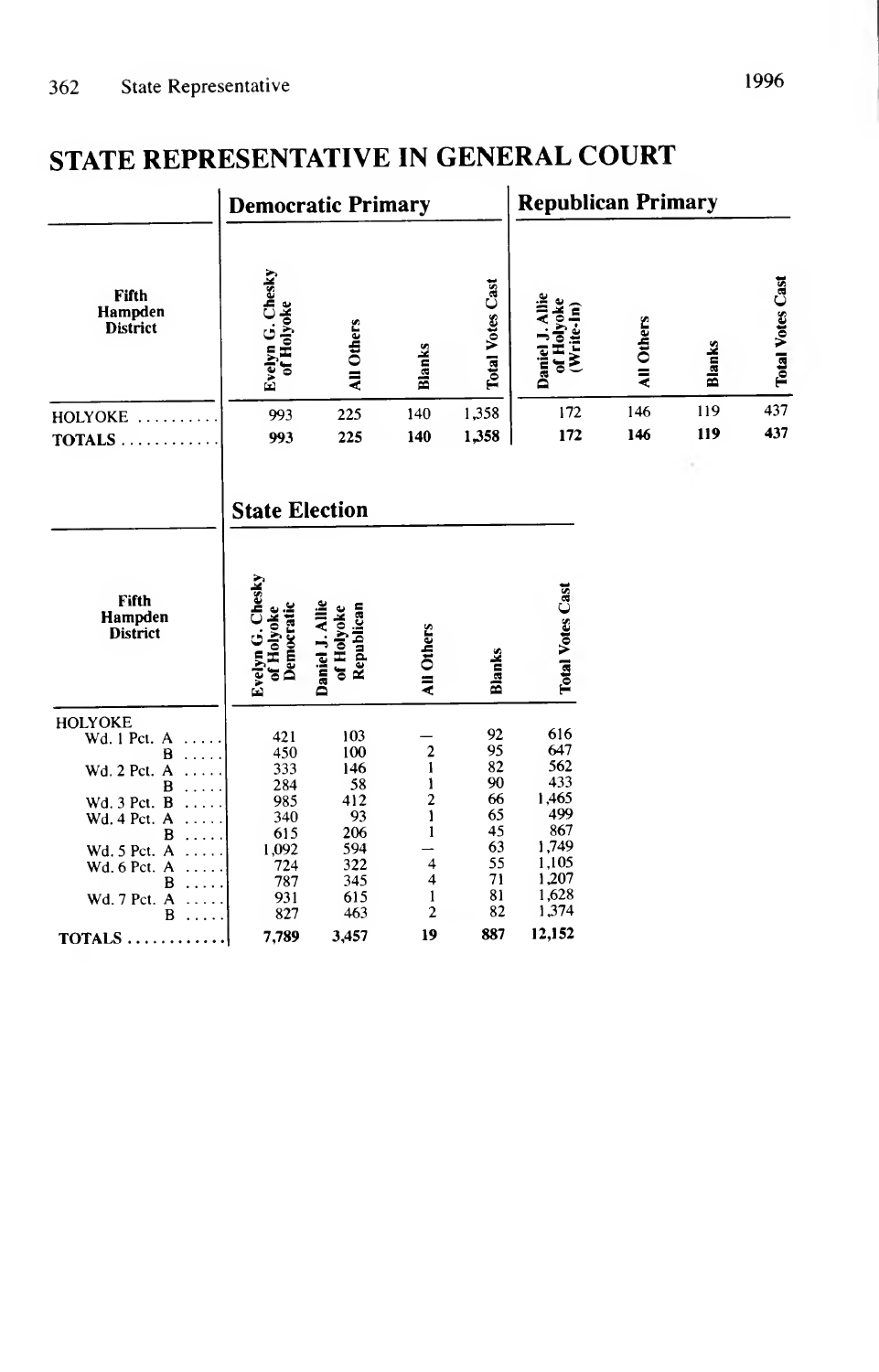|                                                                                                                                                                     |                                                                                             | <b>Democratic Primary</b>                                                               |                                                                                                                               |                                                                             | <b>Republican Primary</b>                                                                                     |            |               |                         |  |
|---------------------------------------------------------------------------------------------------------------------------------------------------------------------|---------------------------------------------------------------------------------------------|-----------------------------------------------------------------------------------------|-------------------------------------------------------------------------------------------------------------------------------|-----------------------------------------------------------------------------|---------------------------------------------------------------------------------------------------------------|------------|---------------|-------------------------|--|
| Fifth<br>Hampden<br><b>District</b>                                                                                                                                 | Evelyn G. Chesky<br>of Holyoke                                                              | All Others                                                                              | Blanks                                                                                                                        | <b>Total Votes Cast</b>                                                     | Daniel J. Allie<br>of Holyoke<br>(Write-In)                                                                   | All Others | <b>Blanks</b> | <b>Total Votes Cast</b> |  |
| HOLYOKE                                                                                                                                                             | 993<br>993                                                                                  | 225<br>225                                                                              | 140<br>140                                                                                                                    | 1,358<br>1,358                                                              | 172<br>172                                                                                                    | 146<br>146 | 119<br>119    | 437<br>437              |  |
| TOTALS.                                                                                                                                                             |                                                                                             |                                                                                         |                                                                                                                               |                                                                             |                                                                                                               |            |               |                         |  |
|                                                                                                                                                                     | <b>State Election</b>                                                                       |                                                                                         |                                                                                                                               |                                                                             |                                                                                                               |            |               |                         |  |
| Fifth<br>Hampden<br>District                                                                                                                                        | Evelyn G. Chesky<br>Democratic<br>of Holyoke                                                | Daniel J. Allie<br>Republican<br>of Holyoke                                             | <b>All Others</b>                                                                                                             | Blanks                                                                      | <b>Total Votes Cast</b>                                                                                       |            |               |                         |  |
| <b>HOLYOKE</b><br>Wd. 1 Pct. A<br>В<br>Wd. 2 Pct. A<br>B<br>Wd. 3 Pct. B<br>Wd. 4 Pct. A<br>B<br>Wd. 5 Pct. A<br>Wd. 6 Pct. A<br>в<br>Wd. 7 Pct. A<br>в<br>$TOTALS$ | 421<br>450<br>333<br>284<br>985<br>340<br>615<br>1,092<br>724<br>787<br>931<br>827<br>7,789 | 103<br>100<br>146<br>58<br>412<br>93<br>206<br>594<br>322<br>345<br>615<br>463<br>3,457 | $\frac{2}{1}$<br>$\frac{1}{2}$<br>$\mathbf{1}$<br>$\overline{\mathbf{4}}$<br>$\overline{\bf{4}}$<br>1<br>$\overline{2}$<br>19 | 92<br>95<br>82<br>90<br>66<br>65<br>45<br>63<br>55<br>71<br>81<br>82<br>887 | 616<br>647<br>562<br>433<br>1,465<br>499<br>867<br>1,749<br>1,105<br>1,207<br>$\frac{1,628}{1,374}$<br>12,152 |            |               |                         |  |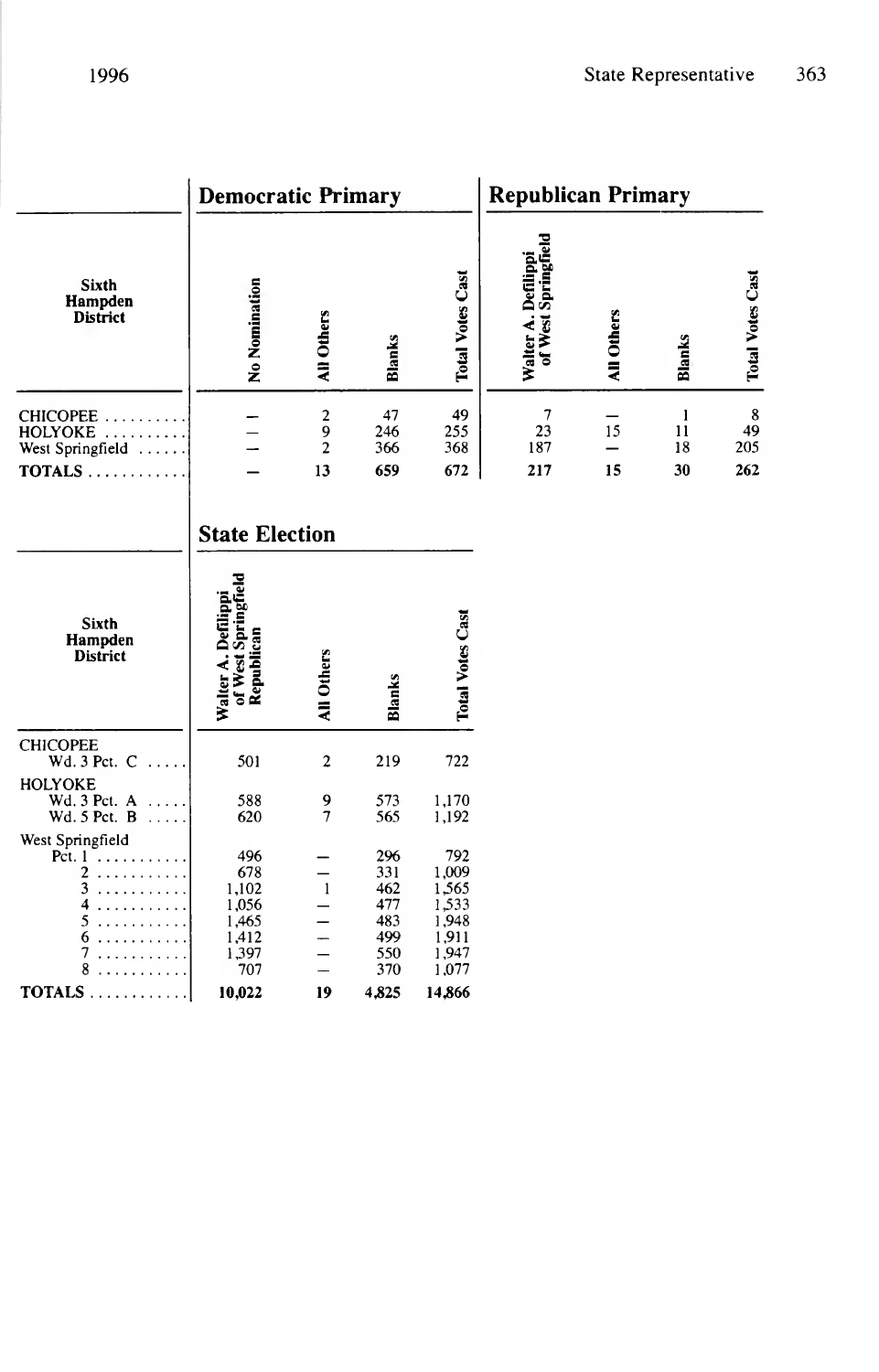$\cos \theta$  Total Votes Cast

 $262$ 

|                                                                     | <b>Democratic Primary</b>                                                         |                                                |                                                      | <b>Republican Primary</b>                                          |                                            |            |                     |
|---------------------------------------------------------------------|-----------------------------------------------------------------------------------|------------------------------------------------|------------------------------------------------------|--------------------------------------------------------------------|--------------------------------------------|------------|---------------------|
| Sixth<br>Hampden<br>District                                        | No Nomination                                                                     | All Others                                     | Blanks                                               | <b>Total Votes Cast</b>                                            | Walter A. Defilippi<br>of West Springfield | All Others | <b>Blanks</b>       |
| CHICOPEE<br><b>HOLYOKE</b><br>West Springfield<br>TOTALS            |                                                                                   | $\overline{\mathbf{c}}$<br>$\frac{9}{2}$<br>13 | 47<br>246<br>366<br>659                              | 49<br>255<br>368<br>672                                            | 7<br>23<br>187<br>217                      | 15<br>15   | 1<br>11<br>18<br>30 |
| <b>Sixth</b><br>Hampden<br><b>District</b>                          | <b>State Election</b><br>of West Springfield<br>Republican<br>Walter A. Defilippi | All Others                                     |                                                      | <b>Total Votes Cast</b>                                            |                                            |            |                     |
|                                                                     |                                                                                   |                                                | Blanks                                               |                                                                    |                                            |            |                     |
| <b>CHICOPEE</b><br>Wd. 3 Pct. C                                     | 501                                                                               | $\overline{c}$                                 | 219                                                  | 722                                                                |                                            |            |                     |
| <b>HOLYOKE</b><br>Wd. 3 Pct. A<br>Wd. 5 Pct. B<br>$\ldots$          | 588<br>620                                                                        | $\frac{9}{7}$                                  | 573<br>565                                           | 1,170<br>1,192                                                     |                                            |            |                     |
| West Springfield<br>Pct.1<br>in na matalan<br>3<br>5<br>6<br>7<br>8 | 496<br>678<br>1,102<br>1,056<br>1,465<br>1,412<br>1,397<br>707                    | $\mathbf{1}$                                   | 296<br>331<br>462<br>477<br>483<br>499<br>550<br>370 | 792<br>1,009<br>1,565<br>1,533<br>1,948<br>1,911<br>1,947<br>1,077 |                                            |            |                     |
| $TOTALS$                                                            | 10,022                                                                            | 19                                             | 4,825                                                | 14,866                                                             |                                            |            |                     |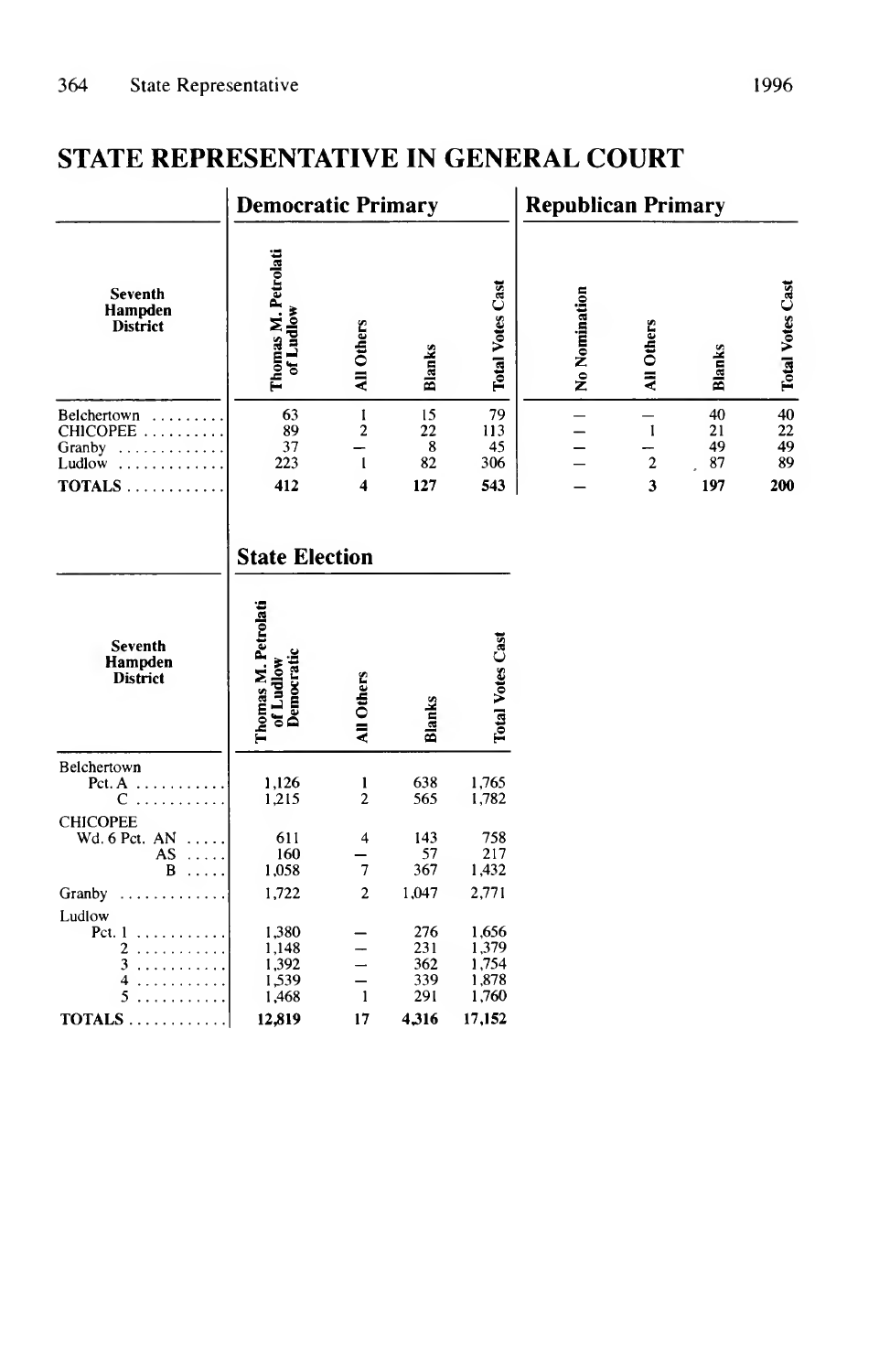|                                                                                                                             | <b>Democratic Primary</b>                          |                                                     |                                          |                                                    | <b>Republican Primary</b> |                                                                       |                             |                             |
|-----------------------------------------------------------------------------------------------------------------------------|----------------------------------------------------|-----------------------------------------------------|------------------------------------------|----------------------------------------------------|---------------------------|-----------------------------------------------------------------------|-----------------------------|-----------------------------|
| Seventh<br>Hampden<br>District                                                                                              | Thomas M. Petrolati<br>of Ludlow                   | All Others                                          | Blanks                                   | <b>Total Votes Cast</b>                            | No Nomination             | All Others                                                            | Blanks                      | <b>Total Votes Cast</b>     |
| Belchertown<br>CHICOPEE<br>Granby<br>Ludlow<br>.<br>TOTALS                                                                  | 63<br>89<br>37<br>223<br>412                       | $\mathbf{I}$<br>$\overline{2}$<br>$\mathbf{I}$<br>4 | 15<br>22<br>8<br>82<br>127               | 79<br>113<br>45<br>306<br>543                      |                           | $\equiv$<br>$\mathbf{1}$<br>$\overline{2}$<br>$\overline{\mathbf{3}}$ | 40<br>21<br>49<br>87<br>197 | 40<br>22<br>49<br>89<br>200 |
|                                                                                                                             | <b>State Election</b>                              |                                                     |                                          |                                                    |                           |                                                                       |                             |                             |
| Seventh<br>Hampden<br><b>District</b>                                                                                       | Thomas M. Petrolati<br>Democratic<br>of Ludlow     | All Others                                          | <b>Blanks</b>                            | <b>Total Votes Cast</b>                            |                           |                                                                       |                             |                             |
| Belchertown<br>Pct. A.<br>C                                                                                                 | 1,126<br>1,215                                     | 1<br>$\overline{2}$                                 | 638<br>565                               | 1,765<br>1,782                                     |                           |                                                                       |                             |                             |
| <b>CHICOPEE</b><br>Wd. 6 Pct. AN<br>1.1.1.1<br>AS<br>1.1.1.1<br>$\mathbf B$<br>$\ldots$                                     | 611<br>160<br>1,058                                | 4<br>7                                              | 143<br>57<br>367                         | 758<br>217<br>1,432                                |                           |                                                                       |                             |                             |
| Granby<br>.<br>Ludlow<br>Pct. $1 \ldots \ldots \ldots$<br>2<br>and and analysis and<br>3<br>a a a a a a a a a a a<br>4<br>5 | 1,722<br>1.380<br>1,148<br>1,392<br>1,539<br>1,468 | $\overline{2}$<br>$\mathbf{1}$                      | 1,047<br>276<br>231<br>362<br>339<br>291 | 2,771<br>1,656<br>1,379<br>1,754<br>1,878<br>1,760 |                           |                                                                       |                             |                             |
| $TOTALS$                                                                                                                    | 12,819                                             | 17                                                  | 4,316                                    | 17,152                                             |                           |                                                                       |                             |                             |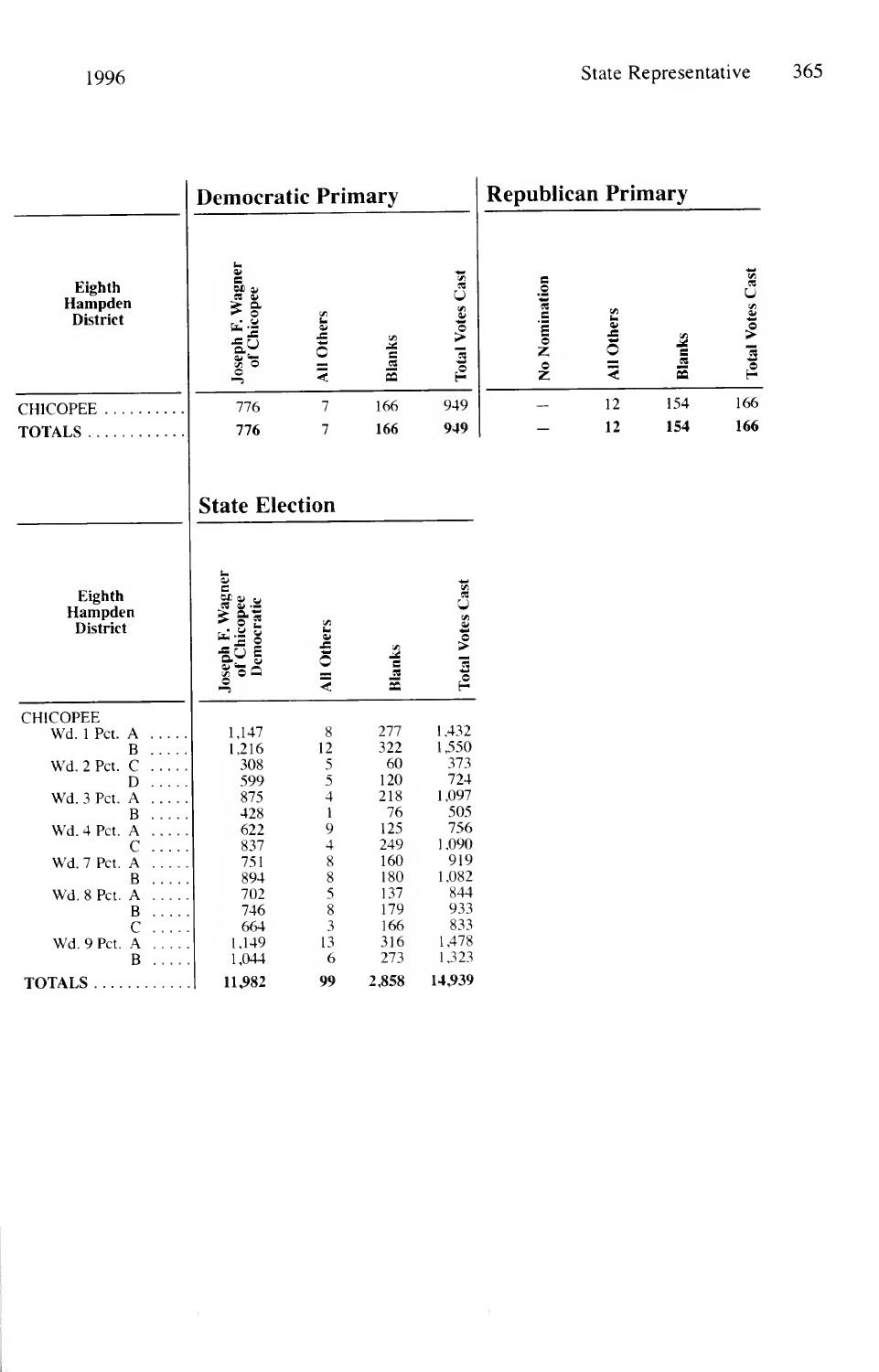|                                                                                                                                                                       | <b>Democratic Primary</b>                                                                                               |                                                                                                                                               |                                                                                                              |                                                                                                                               | <b>Republican Primary</b> |            |               |                         |
|-----------------------------------------------------------------------------------------------------------------------------------------------------------------------|-------------------------------------------------------------------------------------------------------------------------|-----------------------------------------------------------------------------------------------------------------------------------------------|--------------------------------------------------------------------------------------------------------------|-------------------------------------------------------------------------------------------------------------------------------|---------------------------|------------|---------------|-------------------------|
| Eighth<br>Hampden<br>District                                                                                                                                         | Joseph F. Wagner<br>of Chicopee                                                                                         | All Others                                                                                                                                    | <b>Blanks</b>                                                                                                | <b>Total Votes Cast</b>                                                                                                       | No Nomination             | All Others | <b>Blanks</b> | <b>Total Votes Cast</b> |
| CHICOPEE                                                                                                                                                              | 776                                                                                                                     | $\overline{7}$                                                                                                                                | 166                                                                                                          | 949                                                                                                                           |                           | 12         | 154           | 166                     |
| TOTALS                                                                                                                                                                | 776                                                                                                                     | $\overline{7}$                                                                                                                                | 166                                                                                                          | 949                                                                                                                           |                           | 12         | 154           | 166                     |
| Eighth<br>Hampden<br>District                                                                                                                                         | <b>State Election</b><br>Joseph F. Wagner<br>of Chicopee<br>Democratic                                                  | All Others                                                                                                                                    | Blanks                                                                                                       | <b>Total Votes Cast</b>                                                                                                       |                           |            |               |                         |
| CHICOPEE<br>Wd. 1 Pct. A<br>B<br>Wd. 2 Pct. C<br>D<br>Wd. 3 Pct. A<br>B<br>Wd. 4 Pct. A<br>Wd. 7 Pct. A<br>в<br>Wd. 8 Pct. A<br>В<br>C<br>Wd. 9 Pct. A<br>B<br>TOTALS | 1,147<br>1,216<br>308<br>599<br>875<br>428<br>622<br>837<br>751<br>894<br>702<br>746<br>664<br>1,149<br>1,044<br>11,982 | $\,$ 8 $\,$<br>12<br>5<br>$\overline{5}$<br>$\overline{4}$<br>1<br>9<br>$\overline{4}$<br>8<br>8<br>5<br>8<br>$\mathfrak{Z}$<br>13<br>6<br>99 | 277<br>322<br>60<br>120<br>218<br>76<br>125<br>249<br>160<br>180<br>137<br>179<br>166<br>316<br>273<br>2,858 | 1,432<br>1,550<br>373<br>724<br>1.097<br>505<br>756<br>1,090<br>919<br>1,082<br>844<br>933<br>833<br>1,478<br>1,323<br>14,939 |                           |            |               |                         |